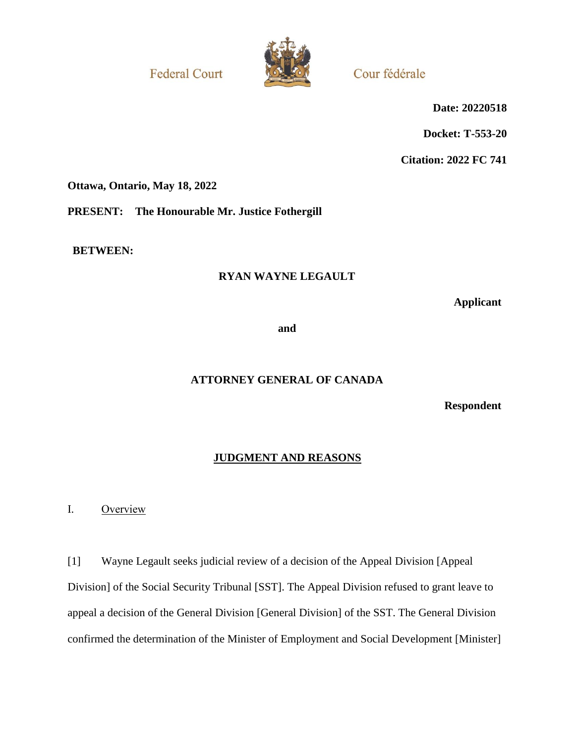**Federal Court** 



Cour fédérale

**Date: 20220518**

**Docket: T-553-20**

**Citation: 2022 FC 741**

**Ottawa, Ontario, May 18, 2022**

**PRESENT: The Honourable Mr. Justice Fothergill**

**BETWEEN:**

## **RYAN WAYNE LEGAULT**

**Applicant**

**and**

## **ATTORNEY GENERAL OF CANADA**

**Respondent**

## **JUDGMENT AND REASONS**

I. Overview

[1] Wayne Legault seeks judicial review of a decision of the Appeal Division [Appeal Division] of the Social Security Tribunal [SST]. The Appeal Division refused to grant leave to appeal a decision of the General Division [General Division] of the SST. The General Division confirmed the determination of the Minister of Employment and Social Development [Minister]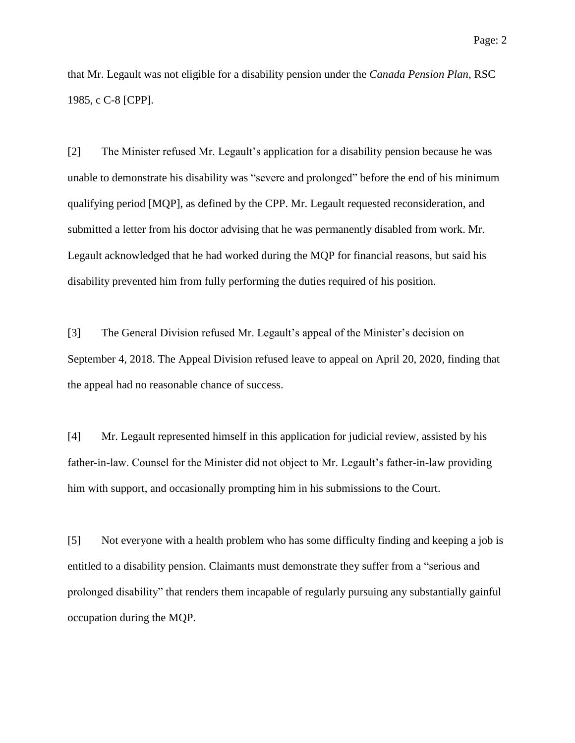that Mr. Legault was not eligible for a disability pension under the *Canada Pension Plan*, RSC 1985, c C-8 [CPP].

[2] The Minister refused Mr. Legault's application for a disability pension because he was unable to demonstrate his disability was "severe and prolonged" before the end of his minimum qualifying period [MQP], as defined by the CPP. Mr. Legault requested reconsideration, and submitted a letter from his doctor advising that he was permanently disabled from work. Mr. Legault acknowledged that he had worked during the MQP for financial reasons, but said his disability prevented him from fully performing the duties required of his position.

[3] The General Division refused Mr. Legault's appeal of the Minister's decision on September 4, 2018. The Appeal Division refused leave to appeal on April 20, 2020, finding that the appeal had no reasonable chance of success.

[4] Mr. Legault represented himself in this application for judicial review, assisted by his father-in-law. Counsel for the Minister did not object to Mr. Legault's father-in-law providing him with support, and occasionally prompting him in his submissions to the Court.

[5] Not everyone with a health problem who has some difficulty finding and keeping a job is entitled to a disability pension. Claimants must demonstrate they suffer from a "serious and prolonged disability" that renders them incapable of regularly pursuing any substantially gainful occupation during the MQP.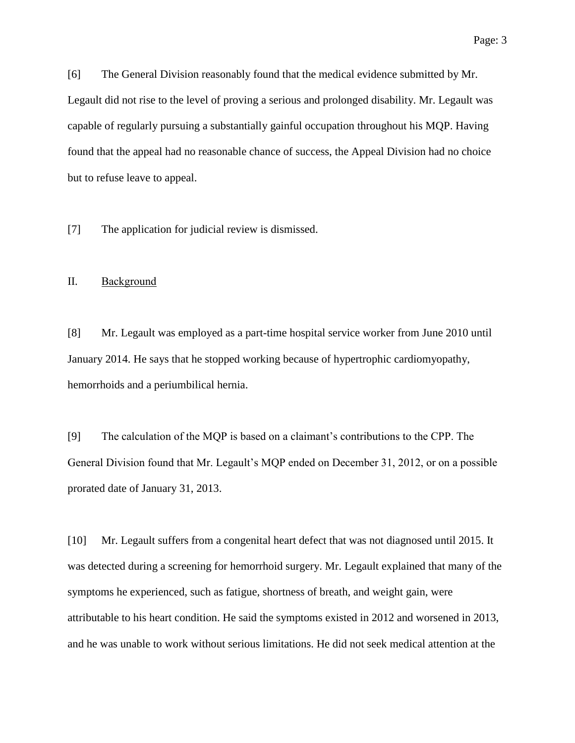[6] The General Division reasonably found that the medical evidence submitted by Mr. Legault did not rise to the level of proving a serious and prolonged disability. Mr. Legault was capable of regularly pursuing a substantially gainful occupation throughout his MQP. Having found that the appeal had no reasonable chance of success, the Appeal Division had no choice but to refuse leave to appeal.

[7] The application for judicial review is dismissed.

#### II. Background

[8] Mr. Legault was employed as a part-time hospital service worker from June 2010 until January 2014. He says that he stopped working because of hypertrophic cardiomyopathy, hemorrhoids and a periumbilical hernia.

[9] The calculation of the MQP is based on a claimant's contributions to the CPP. The General Division found that Mr. Legault's MQP ended on December 31, 2012, or on a possible prorated date of January 31, 2013.

[10] Mr. Legault suffers from a congenital heart defect that was not diagnosed until 2015. It was detected during a screening for hemorrhoid surgery. Mr. Legault explained that many of the symptoms he experienced, such as fatigue, shortness of breath, and weight gain, were attributable to his heart condition. He said the symptoms existed in 2012 and worsened in 2013, and he was unable to work without serious limitations. He did not seek medical attention at the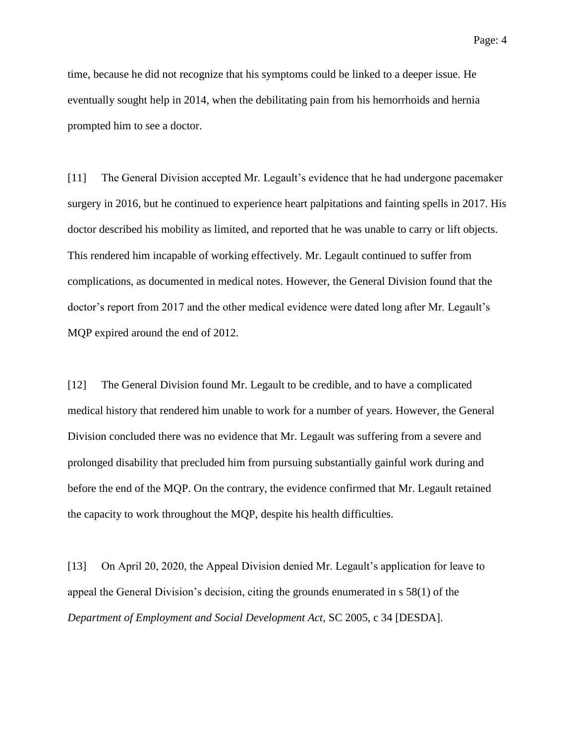time, because he did not recognize that his symptoms could be linked to a deeper issue. He eventually sought help in 2014, when the debilitating pain from his hemorrhoids and hernia prompted him to see a doctor.

[11] The General Division accepted Mr. Legault's evidence that he had undergone pacemaker surgery in 2016, but he continued to experience heart palpitations and fainting spells in 2017. His doctor described his mobility as limited, and reported that he was unable to carry or lift objects. This rendered him incapable of working effectively. Mr. Legault continued to suffer from complications, as documented in medical notes. However, the General Division found that the doctor's report from 2017 and the other medical evidence were dated long after Mr. Legault's MQP expired around the end of 2012.

[12] The General Division found Mr. Legault to be credible, and to have a complicated medical history that rendered him unable to work for a number of years. However, the General Division concluded there was no evidence that Mr. Legault was suffering from a severe and prolonged disability that precluded him from pursuing substantially gainful work during and before the end of the MQP. On the contrary, the evidence confirmed that Mr. Legault retained the capacity to work throughout the MQP, despite his health difficulties.

[13] On April 20, 2020, the Appeal Division denied Mr. Legault's application for leave to appeal the General Division's decision, citing the grounds enumerated in s 58(1) of the *Department of Employment and Social Development Act*, SC 2005, c 34 [DESDA].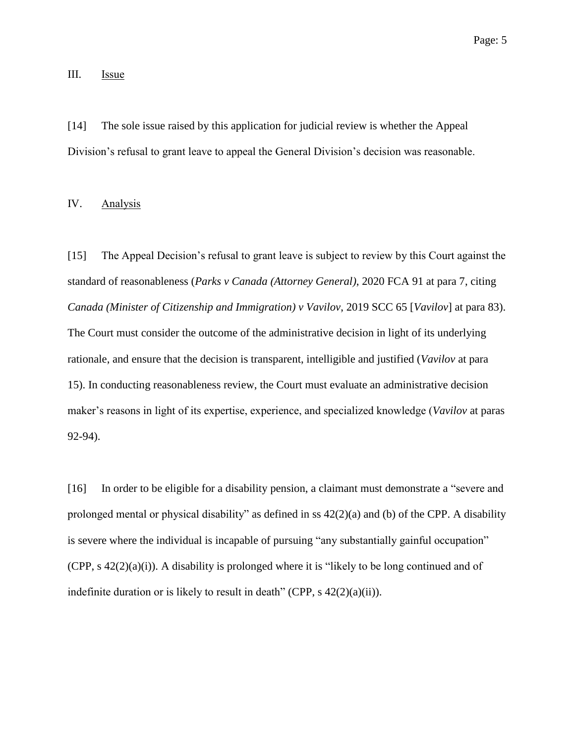### III. **Issue**

[14] The sole issue raised by this application for judicial review is whether the Appeal Division's refusal to grant leave to appeal the General Division's decision was reasonable.

IV. Analysis

[15] The Appeal Decision's refusal to grant leave is subject to review by this Court against the standard of reasonableness (*Parks v Canada (Attorney General)*, 2020 FCA 91 at para 7, citing *Canada (Minister of Citizenship and Immigration) v Vavilov*, 2019 SCC 65 [*Vavilov*] at para 83). The Court must consider the outcome of the administrative decision in light of its underlying rationale, and ensure that the decision is transparent, intelligible and justified (*Vavilov* at para 15). In conducting reasonableness review, the Court must evaluate an administrative decision maker's reasons in light of its expertise, experience, and specialized knowledge (*Vavilov* at paras 92-94).

[16] In order to be eligible for a disability pension, a claimant must demonstrate a "severe and prolonged mental or physical disability" as defined in ss 42(2)(a) and (b) of the CPP. A disability is severe where the individual is incapable of pursuing "any substantially gainful occupation" (CPP, s 42(2)(a)(i)). A disability is prolonged where it is "likely to be long continued and of indefinite duration or is likely to result in death" (CPP,  $s \frac{42(2)(a)(ii)}{i}$ ).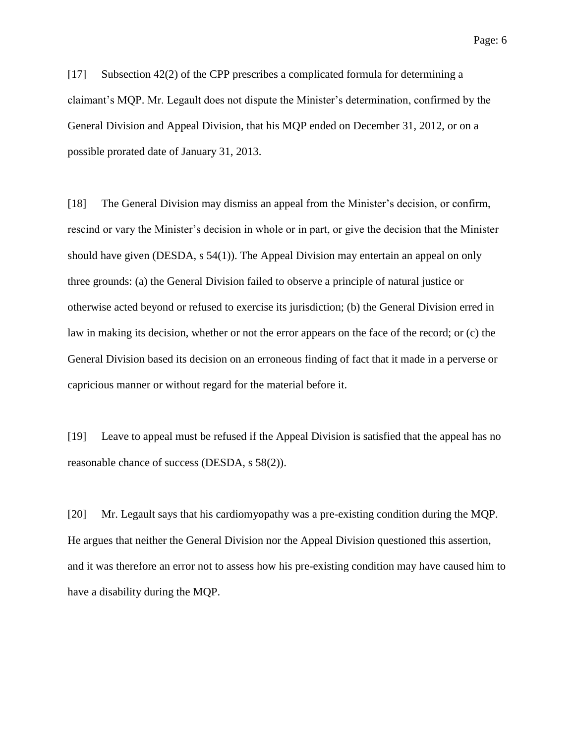Page: 6

[17] Subsection 42(2) of the CPP prescribes a complicated formula for determining a claimant's MQP. Mr. Legault does not dispute the Minister's determination, confirmed by the General Division and Appeal Division, that his MQP ended on December 31, 2012, or on a possible prorated date of January 31, 2013.

[18] The General Division may dismiss an appeal from the Minister's decision, or confirm, rescind or vary the Minister's decision in whole or in part, or give the decision that the Minister should have given (DESDA, s 54(1)). The Appeal Division may entertain an appeal on only three grounds: (a) the General Division failed to observe a principle of natural justice or otherwise acted beyond or refused to exercise its jurisdiction; (b) the General Division erred in law in making its decision, whether or not the error appears on the face of the record; or (c) the General Division based its decision on an erroneous finding of fact that it made in a perverse or capricious manner or without regard for the material before it.

[19] Leave to appeal must be refused if the Appeal Division is satisfied that the appeal has no reasonable chance of success (DESDA, s 58(2)).

[20] Mr. Legault says that his cardiomyopathy was a pre-existing condition during the MQP. He argues that neither the General Division nor the Appeal Division questioned this assertion, and it was therefore an error not to assess how his pre-existing condition may have caused him to have a disability during the MQP.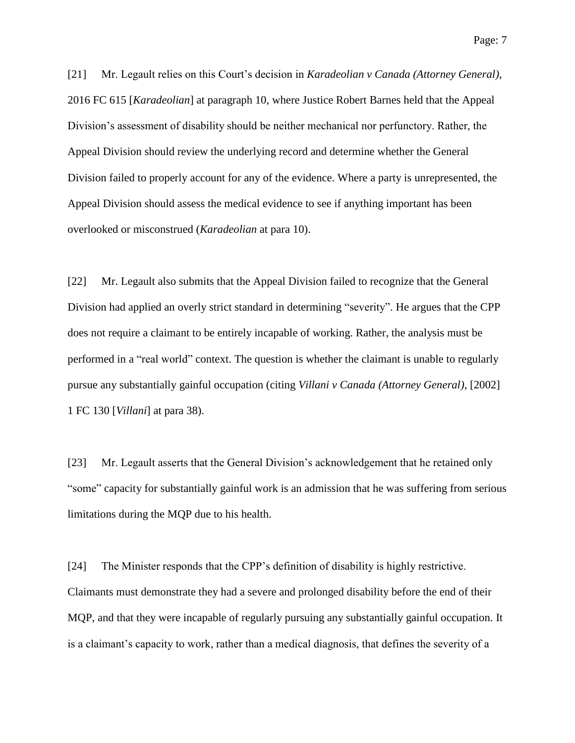Page: 7

[21] Mr. Legault relies on this Court's decision in *Karadeolian v Canada (Attorney General)*, 2016 FC 615 [*Karadeolian*] at paragraph 10, where Justice Robert Barnes held that the Appeal Division's assessment of disability should be neither mechanical nor perfunctory. Rather, the Appeal Division should review the underlying record and determine whether the General Division failed to properly account for any of the evidence. Where a party is unrepresented, the Appeal Division should assess the medical evidence to see if anything important has been overlooked or misconstrued (*Karadeolian* at para 10).

[22] Mr. Legault also submits that the Appeal Division failed to recognize that the General Division had applied an overly strict standard in determining "severity". He argues that the CPP does not require a claimant to be entirely incapable of working. Rather, the analysis must be performed in a "real world" context. The question is whether the claimant is unable to regularly pursue any substantially gainful occupation (citing *Villani v Canada (Attorney General)*, [2002] 1 FC 130 [*Villani*] at para 38).

[23] Mr. Legault asserts that the General Division's acknowledgement that he retained only "some" capacity for substantially gainful work is an admission that he was suffering from serious limitations during the MQP due to his health.

[24] The Minister responds that the CPP's definition of disability is highly restrictive. Claimants must demonstrate they had a severe and prolonged disability before the end of their MQP, and that they were incapable of regularly pursuing any substantially gainful occupation. It is a claimant's capacity to work, rather than a medical diagnosis, that defines the severity of a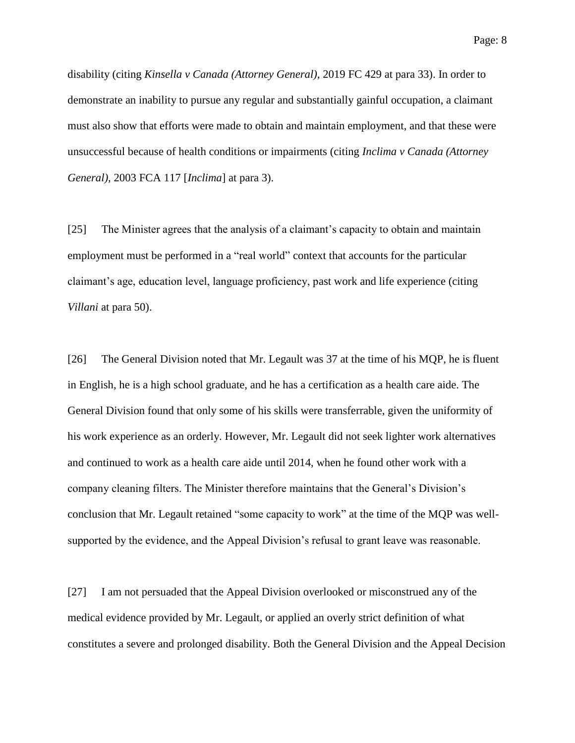disability (citing *Kinsella v Canada (Attorney General)*, 2019 FC 429 at para 33). In order to demonstrate an inability to pursue any regular and substantially gainful occupation, a claimant must also show that efforts were made to obtain and maintain employment, and that these were unsuccessful because of health conditions or impairments (citing *Inclima v Canada (Attorney General)*, 2003 FCA 117 [*Inclima*] at para 3).

[25] The Minister agrees that the analysis of a claimant's capacity to obtain and maintain employment must be performed in a "real world" context that accounts for the particular claimant's age, education level, language proficiency, past work and life experience (citing *Villani* at para 50).

[26] The General Division noted that Mr. Legault was 37 at the time of his MQP, he is fluent in English, he is a high school graduate, and he has a certification as a health care aide. The General Division found that only some of his skills were transferrable, given the uniformity of his work experience as an orderly. However, Mr. Legault did not seek lighter work alternatives and continued to work as a health care aide until 2014, when he found other work with a company cleaning filters. The Minister therefore maintains that the General's Division's conclusion that Mr. Legault retained "some capacity to work" at the time of the MQP was wellsupported by the evidence, and the Appeal Division's refusal to grant leave was reasonable.

[27] I am not persuaded that the Appeal Division overlooked or misconstrued any of the medical evidence provided by Mr. Legault, or applied an overly strict definition of what constitutes a severe and prolonged disability. Both the General Division and the Appeal Decision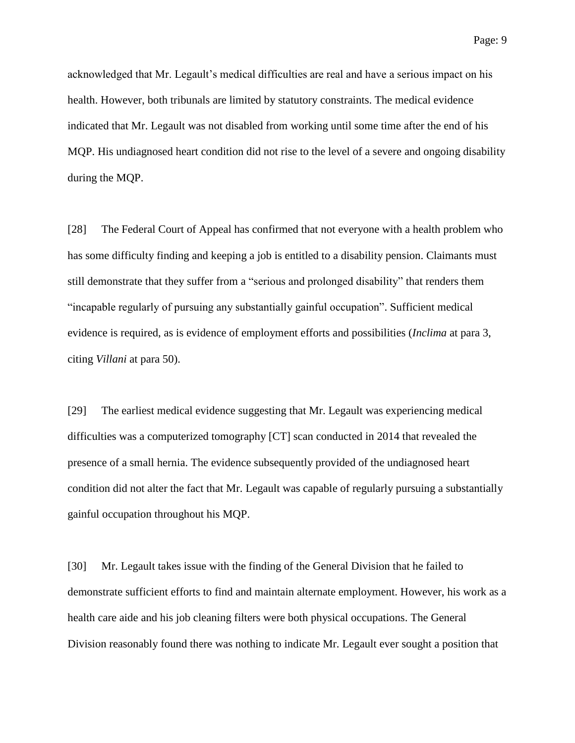acknowledged that Mr. Legault's medical difficulties are real and have a serious impact on his health. However, both tribunals are limited by statutory constraints. The medical evidence indicated that Mr. Legault was not disabled from working until some time after the end of his MQP. His undiagnosed heart condition did not rise to the level of a severe and ongoing disability during the MQP.

[28] The Federal Court of Appeal has confirmed that not everyone with a health problem who has some difficulty finding and keeping a job is entitled to a disability pension. Claimants must still demonstrate that they suffer from a "serious and prolonged disability" that renders them "incapable regularly of pursuing any substantially gainful occupation". Sufficient medical evidence is required, as is evidence of employment efforts and possibilities (*Inclima* at para 3, citing *Villani* at para 50).

[29] The earliest medical evidence suggesting that Mr. Legault was experiencing medical difficulties was a computerized tomography [CT] scan conducted in 2014 that revealed the presence of a small hernia. The evidence subsequently provided of the undiagnosed heart condition did not alter the fact that Mr. Legault was capable of regularly pursuing a substantially gainful occupation throughout his MQP.

[30] Mr. Legault takes issue with the finding of the General Division that he failed to demonstrate sufficient efforts to find and maintain alternate employment. However, his work as a health care aide and his job cleaning filters were both physical occupations. The General Division reasonably found there was nothing to indicate Mr. Legault ever sought a position that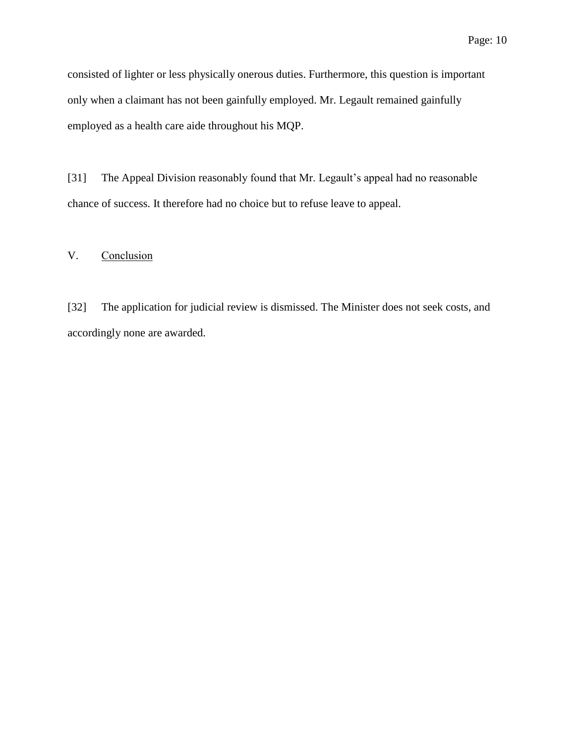consisted of lighter or less physically onerous duties. Furthermore, this question is important only when a claimant has not been gainfully employed. Mr. Legault remained gainfully employed as a health care aide throughout his MQP.

[31] The Appeal Division reasonably found that Mr. Legault's appeal had no reasonable chance of success. It therefore had no choice but to refuse leave to appeal.

## V. Conclusion

[32] The application for judicial review is dismissed. The Minister does not seek costs, and accordingly none are awarded.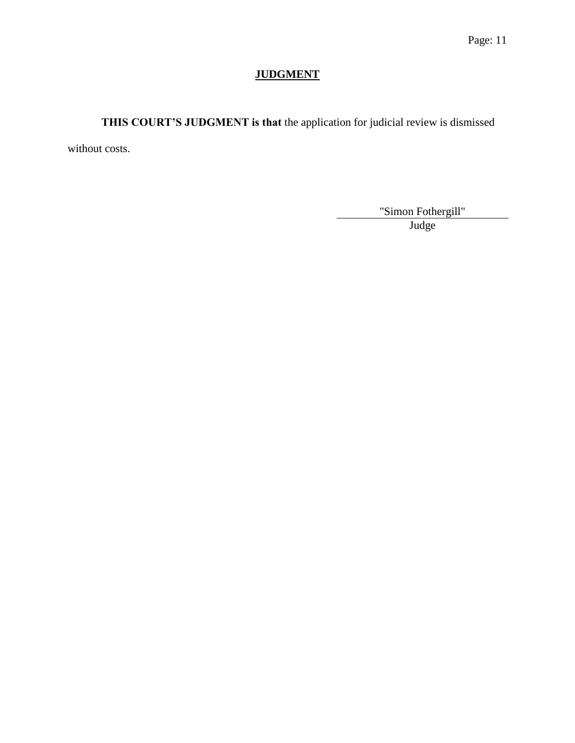# **JUDGMENT**

**THIS COURT'S JUDGMENT is that** the application for judicial review is dismissed

without costs.

"Simon Fothergill"

Judge